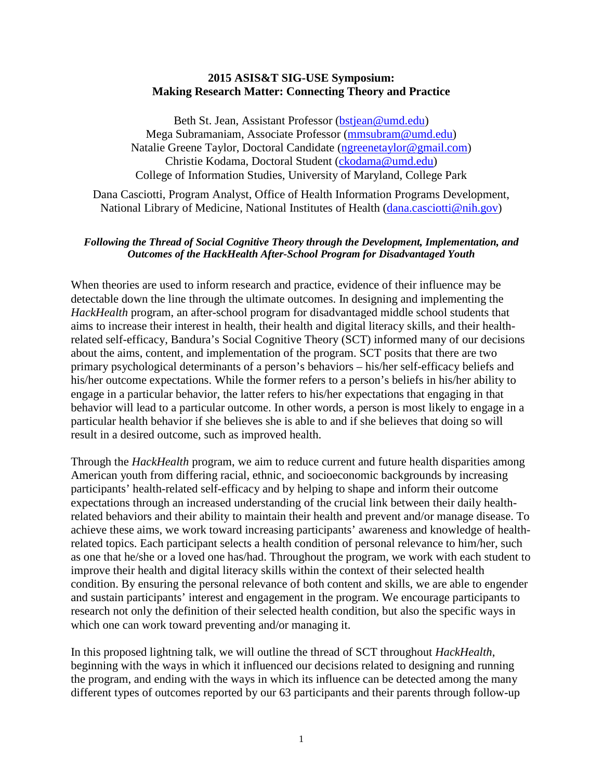## **2015 ASIS&T SIG-USE Symposium: Making Research Matter: Connecting Theory and Practice**

Beth St. Jean, Assistant Professor [\(bstjean@umd.edu\)](mailto:bstjean@umd.edu) Mega Subramaniam, Associate Professor [\(mmsubram@umd.edu\)](mailto:mmsubram@umd.edu) Natalie Greene Taylor, Doctoral Candidate [\(ngreenetaylor@gmail.com\)](mailto:ngreenetaylor@gmail.com) Christie Kodama, Doctoral Student [\(ckodama@umd.edu\)](mailto:ckodama@umd.edu) College of Information Studies, University of Maryland, College Park

Dana Casciotti, Program Analyst, Office of Health Information Programs Development, National Library of Medicine, National Institutes of Health [\(dana.casciotti@nih.gov\)](mailto:dana.casciotti@nih.gov)

## *Following the Thread of Social Cognitive Theory through the Development, Implementation, and Outcomes of the HackHealth After-School Program for Disadvantaged Youth*

When theories are used to inform research and practice, evidence of their influence may be detectable down the line through the ultimate outcomes. In designing and implementing the *HackHealth* program, an after-school program for disadvantaged middle school students that aims to increase their interest in health, their health and digital literacy skills, and their healthrelated self-efficacy, Bandura's Social Cognitive Theory (SCT) informed many of our decisions about the aims, content, and implementation of the program. SCT posits that there are two primary psychological determinants of a person's behaviors – his/her self-efficacy beliefs and his/her outcome expectations. While the former refers to a person's beliefs in his/her ability to engage in a particular behavior, the latter refers to his/her expectations that engaging in that behavior will lead to a particular outcome. In other words, a person is most likely to engage in a particular health behavior if she believes she is able to and if she believes that doing so will result in a desired outcome, such as improved health.

Through the *HackHealth* program, we aim to reduce current and future health disparities among American youth from differing racial, ethnic, and socioeconomic backgrounds by increasing participants' health-related self-efficacy and by helping to shape and inform their outcome expectations through an increased understanding of the crucial link between their daily healthrelated behaviors and their ability to maintain their health and prevent and/or manage disease. To achieve these aims, we work toward increasing participants' awareness and knowledge of healthrelated topics. Each participant selects a health condition of personal relevance to him/her, such as one that he/she or a loved one has/had. Throughout the program, we work with each student to improve their health and digital literacy skills within the context of their selected health condition. By ensuring the personal relevance of both content and skills, we are able to engender and sustain participants' interest and engagement in the program. We encourage participants to research not only the definition of their selected health condition, but also the specific ways in which one can work toward preventing and/or managing it.

In this proposed lightning talk, we will outline the thread of SCT throughout *HackHealth*, beginning with the ways in which it influenced our decisions related to designing and running the program, and ending with the ways in which its influence can be detected among the many different types of outcomes reported by our 63 participants and their parents through follow-up